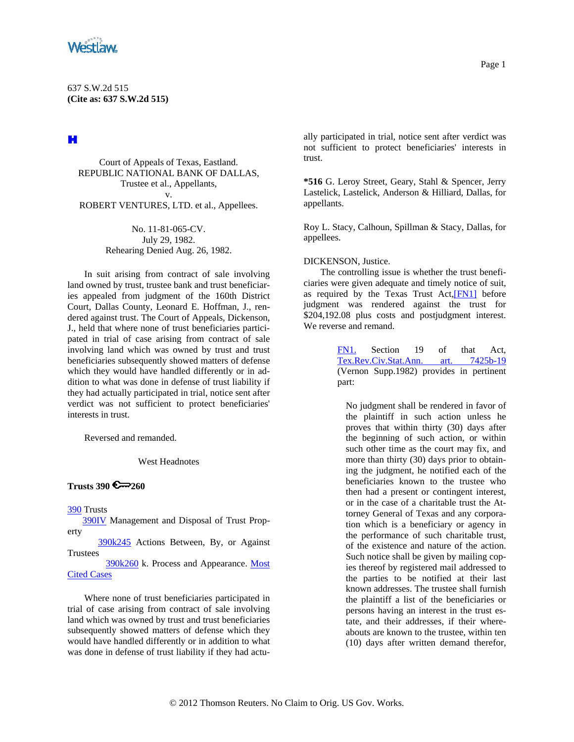<span id="page-0-0"></span>

# H

Court of Appeals of Texas, Eastland. REPUBLIC NATIONAL BANK OF DALLAS, Trustee et al., Appellants, v.

ROBERT VENTURES, LTD. et al., Appellees.

No. 11-81-065-CV. July 29, 1982. Rehearing Denied Aug. 26, 1982.

In suit arising from contract of sale involving land owned by trust, trustee bank and trust beneficiaries appealed from judgment of the 160th District Court, Dallas County, Leonard E. Hoffman, J., rendered against trust. The Court of Appeals, Dickenson, J., held that where none of trust beneficiaries participated in trial of case arising from contract of sale involving land which was owned by trust and trust beneficiaries subsequently showed matters of defense which they would have handled differently or in addition to what was done in defense of trust liability if they had actually participated in trial, notice sent after verdict was not sufficient to protect beneficiaries' interests in trust.

Reversed and remanded.

West Headnotes

# **Trusts 390 2 260**

[390](http://www.westlaw.com/KeyNumber/Default.wl?rs=dfa1.0&vr=2.0&CMD=KEY&DocName=390) Trusts

 [390IV](http://www.westlaw.com/KeyNumber/Default.wl?rs=dfa1.0&vr=2.0&CMD=KEY&DocName=390IV) Management and Disposal of Trust Property

 [390k245](http://www.westlaw.com/KeyNumber/Default.wl?rs=dfa1.0&vr=2.0&CMD=KEY&DocName=390k245) Actions Between, By, or Against Trustees

 [390k260](http://www.westlaw.com/KeyNumber/Default.wl?rs=dfa1.0&vr=2.0&CMD=KEY&DocName=390k260) k. Process and Appearance. [Most](http://www.westlaw.com/Digest/Default.wl?rs=dfa1.0&vr=2.0&CMD=MCC&DocName=390k260)  [Cited Cases](http://www.westlaw.com/Digest/Default.wl?rs=dfa1.0&vr=2.0&CMD=MCC&DocName=390k260)

Where none of trust beneficiaries participated in trial of case arising from contract of sale involving land which was owned by trust and trust beneficiaries subsequently showed matters of defense which they would have handled differently or in addition to what was done in defense of trust liability if they had actually participated in trial, notice sent after verdict was not sufficient to protect beneficiaries' interests in trust.

**\*516** G. Leroy Street, Geary, Stahl & Spencer, Jerry Lastelick, Lastelick, Anderson & Hilliard, Dallas, for appellants.

Roy L. Stacy, Calhoun, Spillman & Stacy, Dallas, for appellees.

### DICKENSON, Justice.

The controlling issue is whether the trust beneficiaries were given adequate and timely notice of suit, as required by the Texas Trust Act, [FN1] before judgment was rendered against the trust for \$204,192.08 plus costs and postjudgment interest. We reverse and remand.

> [FN1.](#page-0-0) Section 19 of that Act, [Tex.Rev.Civ.Stat.Ann. art. 7425b-19](http://www.westlaw.com/Find/Default.wl?rs=dfa1.0&vr=2.0&DB=1000301&DocName=TXCSART7425B-19&FindType=L) (Vernon Supp.1982) provides in pertinent part:

No judgment shall be rendered in favor of the plaintiff in such action unless he proves that within thirty (30) days after the beginning of such action, or within such other time as the court may fix, and more than thirty (30) days prior to obtaining the judgment, he notified each of the beneficiaries known to the trustee who then had a present or contingent interest, or in the case of a charitable trust the Attorney General of Texas and any corporation which is a beneficiary or agency in the performance of such charitable trust, of the existence and nature of the action. Such notice shall be given by mailing copies thereof by registered mail addressed to the parties to be notified at their last known addresses. The trustee shall furnish the plaintiff a list of the beneficiaries or persons having an interest in the trust estate, and their addresses, if their whereabouts are known to the trustee, within ten (10) days after written demand therefor,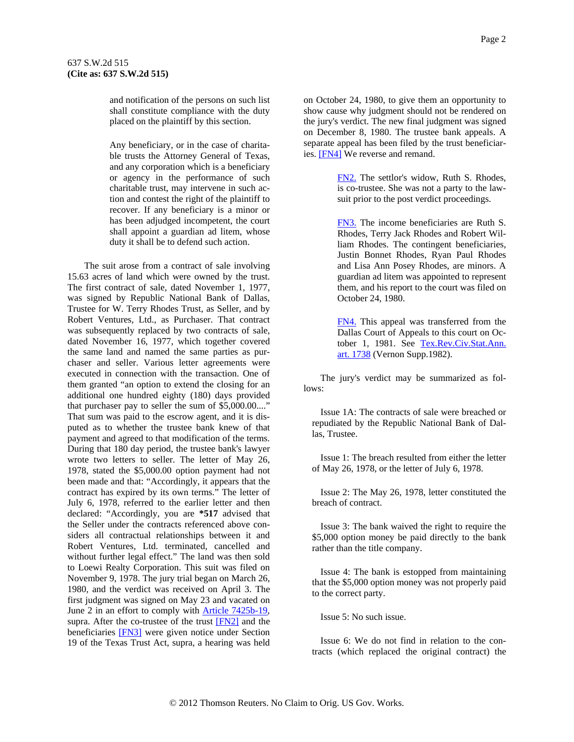<span id="page-1-0"></span>and notification of the persons on such list shall constitute compliance with the duty placed on the plaintiff by this section.

Any beneficiary, or in the case of charitable trusts the Attorney General of Texas, and any corporation which is a beneficiary or agency in the performance of such charitable trust, may intervene in such action and contest the right of the plaintiff to recover. If any beneficiary is a minor or has been adjudged incompetent, the court shall appoint a guardian ad litem, whose duty it shall be to defend such action.

The suit arose from a contract of sale involving 15.63 acres of land which were owned by the trust. The first contract of sale, dated November 1, 1977, was signed by Republic National Bank of Dallas, Trustee for W. Terry Rhodes Trust, as Seller, and by Robert Ventures, Ltd., as Purchaser. That contract was subsequently replaced by two contracts of sale, dated November 16, 1977, which together covered the same land and named the same parties as purchaser and seller. Various letter agreements were executed in connection with the transaction. One of them granted "an option to extend the closing for an additional one hundred eighty (180) days provided that purchaser pay to seller the sum of \$5,000.00...." That sum was paid to the escrow agent, and it is disputed as to whether the trustee bank knew of that payment and agreed to that modification of the terms. During that 180 day period, the trustee bank's lawyer wrote two letters to seller. The letter of May 26, 1978, stated the \$5,000.00 option payment had not been made and that: "Accordingly, it appears that the contract has expired by its own terms." The letter of July 6, 1978, referred to the earlier letter and then declared: "Accordingly, you are **\*517** advised that the Seller under the contracts referenced above considers all contractual relationships between it and Robert Ventures, Ltd. terminated, cancelled and without further legal effect." The land was then sold to Loewi Realty Corporation. This suit was filed on November 9, 1978. The jury trial began on March 26, 1980, and the verdict was received on April 3. The first judgment was signed on May 23 and vacated on June 2 in an effort to comply with [Article 7425b-19](http://www.westlaw.com/Find/Default.wl?rs=dfa1.0&vr=2.0&DB=1000301&DocName=TXCSART7425B-19&FindType=L), supra. After the co-trustee of the trust [\[FN2\]](#page-1-0) and the beneficiaries [\[FN3\]](#page-1-0) were given notice under Section 19 of the Texas Trust Act, supra, a hearing was held

on October 24, 1980, to give them an opportunity to show cause why judgment should not be rendered on the jury's verdict. The new final judgment was signed on December 8, 1980. The trustee bank appeals. A separate appeal has been filed by the trust beneficiaries. **[FN4]** We reverse and remand.

> [FN2.](#page-1-0) The settlor's widow, Ruth S. Rhodes, is co-trustee. She was not a party to the lawsuit prior to the post verdict proceedings.

> [FN3.](#page-1-0) The income beneficiaries are Ruth S. Rhodes, Terry Jack Rhodes and Robert William Rhodes. The contingent beneficiaries, Justin Bonnet Rhodes, Ryan Paul Rhodes and Lisa Ann Posey Rhodes, are minors. A guardian ad litem was appointed to represent them, and his report to the court was filed on October 24, 1980.

> [FN4.](#page-1-0) This appeal was transferred from the Dallas Court of Appeals to this court on October 1, 1981. See [Tex.Rev.Civ.Stat.Ann.](http://www.westlaw.com/Find/Default.wl?rs=dfa1.0&vr=2.0&DB=1000301&DocName=TXCSART1738&FindType=L)  [art. 1738](http://www.westlaw.com/Find/Default.wl?rs=dfa1.0&vr=2.0&DB=1000301&DocName=TXCSART1738&FindType=L) (Vernon Supp.1982).

The jury's verdict may be summarized as follows:

Issue 1A: The contracts of sale were breached or repudiated by the Republic National Bank of Dallas, Trustee.

Issue 1: The breach resulted from either the letter of May 26, 1978, or the letter of July 6, 1978.

Issue 2: The May 26, 1978, letter constituted the breach of contract.

Issue 3: The bank waived the right to require the \$5,000 option money be paid directly to the bank rather than the title company.

Issue 4: The bank is estopped from maintaining that the \$5,000 option money was not properly paid to the correct party.

Issue 5: No such issue.

Issue 6: We do not find in relation to the contracts (which replaced the original contract) the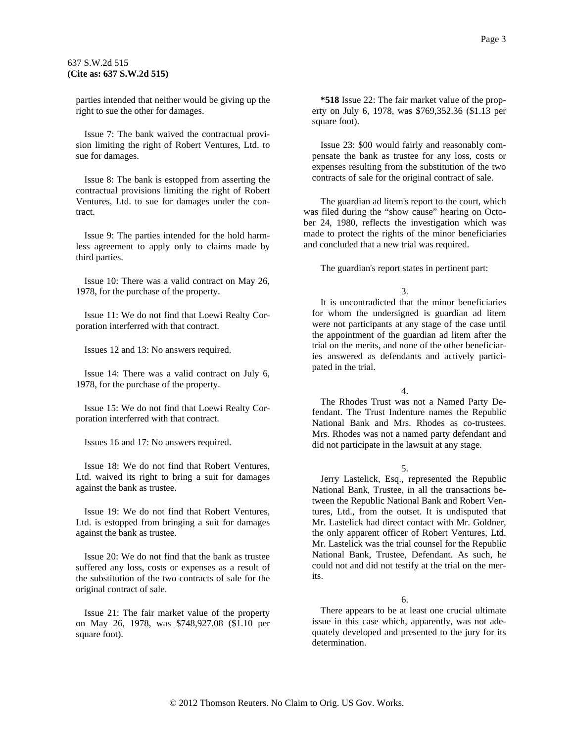parties intended that neither would be giving up the right to sue the other for damages.

Issue 7: The bank waived the contractual provision limiting the right of Robert Ventures, Ltd. to sue for damages.

Issue 8: The bank is estopped from asserting the contractual provisions limiting the right of Robert Ventures, Ltd. to sue for damages under the contract.

Issue 9: The parties intended for the hold harmless agreement to apply only to claims made by third parties.

Issue 10: There was a valid contract on May 26, 1978, for the purchase of the property.

Issue 11: We do not find that Loewi Realty Corporation interferred with that contract.

Issues 12 and 13: No answers required.

Issue 14: There was a valid contract on July 6, 1978, for the purchase of the property.

Issue 15: We do not find that Loewi Realty Corporation interferred with that contract.

Issues 16 and 17: No answers required.

Issue 18: We do not find that Robert Ventures, Ltd. waived its right to bring a suit for damages against the bank as trustee.

Issue 19: We do not find that Robert Ventures, Ltd. is estopped from bringing a suit for damages against the bank as trustee.

Issue 20: We do not find that the bank as trustee suffered any loss, costs or expenses as a result of the substitution of the two contracts of sale for the original contract of sale.

Issue 21: The fair market value of the property on May 26, 1978, was \$748,927.08 (\$1.10 per square foot).

**\*518** Issue 22: The fair market value of the property on July 6, 1978, was \$769,352.36 (\$1.13 per square foot).

Issue 23: \$00 would fairly and reasonably compensate the bank as trustee for any loss, costs or expenses resulting from the substitution of the two contracts of sale for the original contract of sale.

The guardian ad litem's report to the court, which was filed during the "show cause" hearing on October 24, 1980, reflects the investigation which was made to protect the rights of the minor beneficiaries and concluded that a new trial was required.

The guardian's report states in pertinent part:

3.

It is uncontradicted that the minor beneficiaries for whom the undersigned is guardian ad litem were not participants at any stage of the case until the appointment of the guardian ad litem after the trial on the merits, and none of the other beneficiaries answered as defendants and actively participated in the trial.

4.

The Rhodes Trust was not a Named Party Defendant. The Trust Indenture names the Republic National Bank and Mrs. Rhodes as co-trustees. Mrs. Rhodes was not a named party defendant and did not participate in the lawsuit at any stage.

5.

Jerry Lastelick, Esq., represented the Republic National Bank, Trustee, in all the transactions between the Republic National Bank and Robert Ventures, Ltd., from the outset. It is undisputed that Mr. Lastelick had direct contact with Mr. Goldner, the only apparent officer of Robert Ventures, Ltd. Mr. Lastelick was the trial counsel for the Republic National Bank, Trustee, Defendant. As such, he could not and did not testify at the trial on the merits.

There appears to be at least one crucial ultimate issue in this case which, apparently, was not adequately developed and presented to the jury for its determination.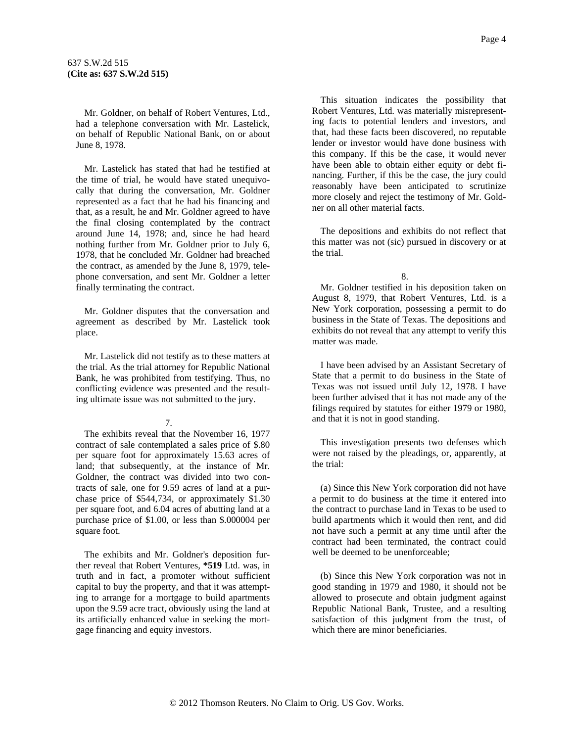Mr. Goldner, on behalf of Robert Ventures, Ltd., had a telephone conversation with Mr. Lastelick, on behalf of Republic National Bank, on or about June 8, 1978.

Mr. Lastelick has stated that had he testified at the time of trial, he would have stated unequivocally that during the conversation, Mr. Goldner represented as a fact that he had his financing and that, as a result, he and Mr. Goldner agreed to have the final closing contemplated by the contract around June 14, 1978; and, since he had heard nothing further from Mr. Goldner prior to July 6, 1978, that he concluded Mr. Goldner had breached the contract, as amended by the June 8, 1979, telephone conversation, and sent Mr. Goldner a letter finally terminating the contract.

Mr. Goldner disputes that the conversation and agreement as described by Mr. Lastelick took place.

Mr. Lastelick did not testify as to these matters at the trial. As the trial attorney for Republic National Bank, he was prohibited from testifying. Thus, no conflicting evidence was presented and the resulting ultimate issue was not submitted to the jury.

#### 7.

The exhibits reveal that the November 16, 1977 contract of sale contemplated a sales price of \$.80 per square foot for approximately 15.63 acres of land; that subsequently, at the instance of Mr. Goldner, the contract was divided into two contracts of sale, one for 9.59 acres of land at a purchase price of \$544,734, or approximately \$1.30 per square foot, and 6.04 acres of abutting land at a purchase price of \$1.00, or less than \$.000004 per square foot.

The exhibits and Mr. Goldner's deposition further reveal that Robert Ventures, **\*519** Ltd. was, in truth and in fact, a promoter without sufficient capital to buy the property, and that it was attempting to arrange for a mortgage to build apartments upon the 9.59 acre tract, obviously using the land at its artificially enhanced value in seeking the mortgage financing and equity investors.

This situation indicates the possibility that Robert Ventures, Ltd. was materially misrepresenting facts to potential lenders and investors, and that, had these facts been discovered, no reputable lender or investor would have done business with this company. If this be the case, it would never have been able to obtain either equity or debt financing. Further, if this be the case, the jury could reasonably have been anticipated to scrutinize more closely and reject the testimony of Mr. Gold-

The depositions and exhibits do not reflect that this matter was not (sic) pursued in discovery or at the trial.

8.

ner on all other material facts.

Mr. Goldner testified in his deposition taken on August 8, 1979, that Robert Ventures, Ltd. is a New York corporation, possessing a permit to do business in the State of Texas. The depositions and exhibits do not reveal that any attempt to verify this matter was made.

I have been advised by an Assistant Secretary of State that a permit to do business in the State of Texas was not issued until July 12, 1978. I have been further advised that it has not made any of the filings required by statutes for either 1979 or 1980, and that it is not in good standing.

This investigation presents two defenses which were not raised by the pleadings, or, apparently, at the trial:

(a) Since this New York corporation did not have a permit to do business at the time it entered into the contract to purchase land in Texas to be used to build apartments which it would then rent, and did not have such a permit at any time until after the contract had been terminated, the contract could well be deemed to be unenforceable;

(b) Since this New York corporation was not in good standing in 1979 and 1980, it should not be allowed to prosecute and obtain judgment against Republic National Bank, Trustee, and a resulting satisfaction of this judgment from the trust, of which there are minor beneficiaries.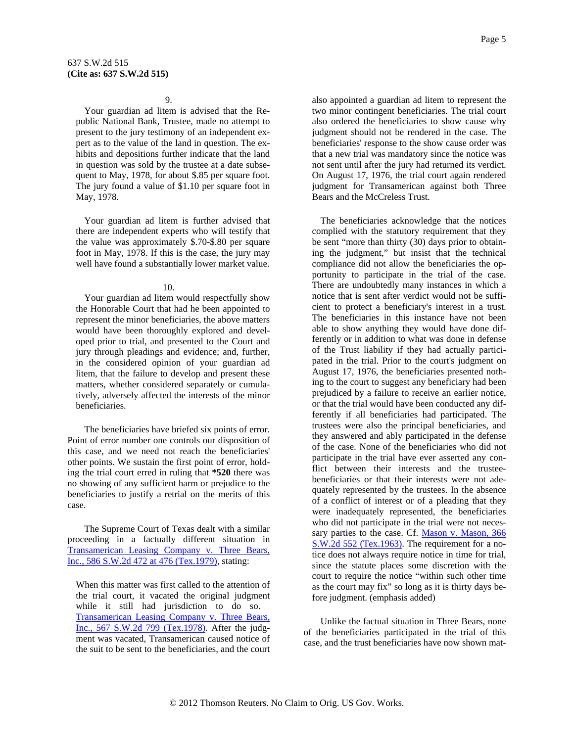### 9.

Your guardian ad litem is advised that the Republic National Bank, Trustee, made no attempt to present to the jury testimony of an independent expert as to the value of the land in question. The exhibits and depositions further indicate that the land in question was sold by the trustee at a date subsequent to May, 1978, for about \$.85 per square foot. The jury found a value of \$1.10 per square foot in May, 1978.

Your guardian ad litem is further advised that there are independent experts who will testify that the value was approximately \$.70-\$.80 per square foot in May, 1978. If this is the case, the jury may well have found a substantially lower market value.

### 10.

Your guardian ad litem would respectfully show the Honorable Court that had he been appointed to represent the minor beneficiaries, the above matters would have been thoroughly explored and developed prior to trial, and presented to the Court and jury through pleadings and evidence; and, further, in the considered opinion of your guardian ad litem, that the failure to develop and present these matters, whether considered separately or cumulatively, adversely affected the interests of the minor beneficiaries.

The beneficiaries have briefed six points of error. Point of error number one controls our disposition of this case, and we need not reach the beneficiaries' other points. We sustain the first point of error, holding the trial court erred in ruling that **\*520** there was no showing of any sufficient harm or prejudice to the beneficiaries to justify a retrial on the merits of this case.

The Supreme Court of Texas dealt with a similar proceeding in a factually different situation in [Transamerican Leasing Company v. Three Bears,](http://www.westlaw.com/Find/Default.wl?rs=dfa1.0&vr=2.0&DB=713&FindType=Y&ReferencePositionType=S&SerialNum=1979130915&ReferencePosition=476)  [Inc., 586 S.W.2d 472 at 476 \(Tex.1979\),](http://www.westlaw.com/Find/Default.wl?rs=dfa1.0&vr=2.0&DB=713&FindType=Y&ReferencePositionType=S&SerialNum=1979130915&ReferencePosition=476) stating:

When this matter was first called to the attention of the trial court, it vacated the original judgment while it still had jurisdiction to do so. [Transamerican Leasing Company v. Three Bears,](http://www.westlaw.com/Find/Default.wl?rs=dfa1.0&vr=2.0&DB=713&FindType=Y&SerialNum=1978134504)  [Inc., 567 S.W.2d 799 \(Tex.1978\)](http://www.westlaw.com/Find/Default.wl?rs=dfa1.0&vr=2.0&DB=713&FindType=Y&SerialNum=1978134504). After the judgment was vacated, Transamerican caused notice of the suit to be sent to the beneficiaries, and the court also appointed a guardian ad litem to represent the two minor contingent beneficiaries. The trial court also ordered the beneficiaries to show cause why judgment should not be rendered in the case. The beneficiaries' response to the show cause order was that a new trial was mandatory since the notice was not sent until after the jury had returned its verdict. On August 17, 1976, the trial court again rendered judgment for Transamerican against both Three Bears and the McCreless Trust.

The beneficiaries acknowledge that the notices complied with the statutory requirement that they be sent "more than thirty (30) days prior to obtaining the judgment," but insist that the technical compliance did not allow the beneficiaries the opportunity to participate in the trial of the case. There are undoubtedly many instances in which a notice that is sent after verdict would not be sufficient to protect a beneficiary's interest in a trust. The beneficiaries in this instance have not been able to show anything they would have done differently or in addition to what was done in defense of the Trust liability if they had actually participated in the trial. Prior to the court's judgment on August 17, 1976, the beneficiaries presented nothing to the court to suggest any beneficiary had been prejudiced by a failure to receive an earlier notice, or that the trial would have been conducted any differently if all beneficiaries had participated. The trustees were also the principal beneficiaries, and they answered and ably participated in the defense of the case. None of the beneficiaries who did not participate in the trial have ever asserted any conflict between their interests and the trusteebeneficiaries or that their interests were not adequately represented by the trustees. In the absence of a conflict of interest or of a pleading that they were inadequately represented, the beneficiaries who did not participate in the trial were not necessary parties to the case. Cf. Mason v. Mason, 366 [S.W.2d 552 \(Tex.1963\).](http://www.westlaw.com/Find/Default.wl?rs=dfa1.0&vr=2.0&DB=713&FindType=Y&SerialNum=1963127547) The requirement for a notice does not always require notice in time for trial, since the statute places some discretion with the court to require the notice "within such other time as the court may fix" so long as it is thirty days before judgment. (emphasis added)

Unlike the factual situation in Three Bears, none of the beneficiaries participated in the trial of this case, and the trust beneficiaries have now shown mat-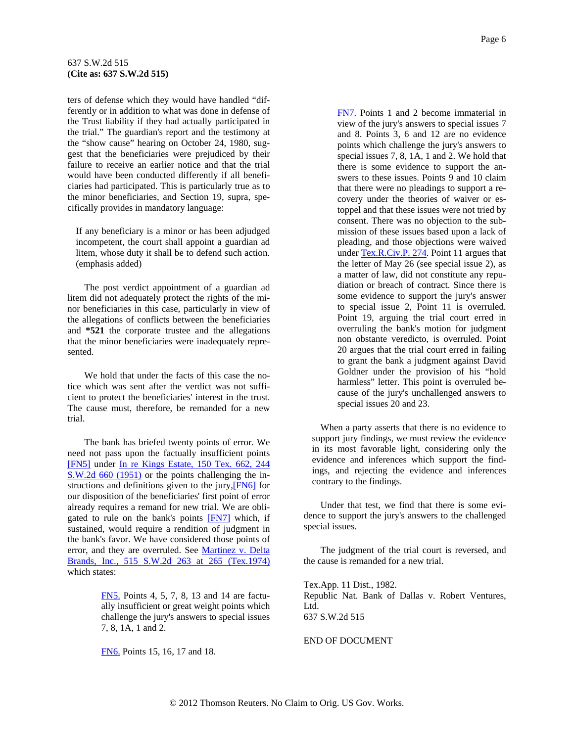## <span id="page-5-0"></span>637 S.W.2d 515 **(Cite as: 637 S.W.2d 515)**

ters of defense which they would have handled "differently or in addition to what was done in defense of the Trust liability if they had actually participated in the trial." The guardian's report and the testimony at the "show cause" hearing on October 24, 1980, suggest that the beneficiaries were prejudiced by their failure to receive an earlier notice and that the trial would have been conducted differently if all beneficiaries had participated. This is particularly true as to the minor beneficiaries, and Section 19, supra, specifically provides in mandatory language:

If any beneficiary is a minor or has been adjudged incompetent, the court shall appoint a guardian ad litem, whose duty it shall be to defend such action. (emphasis added)

The post verdict appointment of a guardian ad litem did not adequately protect the rights of the minor beneficiaries in this case, particularly in view of the allegations of conflicts between the beneficiaries and **\*521** the corporate trustee and the allegations that the minor beneficiaries were inadequately represented.

We hold that under the facts of this case the notice which was sent after the verdict was not sufficient to protect the beneficiaries' interest in the trust. The cause must, therefore, be remanded for a new trial.

The bank has briefed twenty points of error. We need not pass upon the factually insufficient points [\[FN5\]](#page-5-0) under In re Kings Estate, 150 Tex. 662, 244 [S.W.2d 660 \(1951\)](http://www.westlaw.com/Find/Default.wl?rs=dfa1.0&vr=2.0&DB=713&FindType=Y&SerialNum=1952101913) or the points challenging the in-structions and definitions given to the jury, [\[FN6\]](#page-5-0) for our disposition of the beneficiaries' first point of error already requires a remand for new trial. We are obli-gated to rule on the bank's points [\[FN7\]](#page-5-0) which, if sustained, would require a rendition of judgment in the bank's favor. We have considered those points of error, and they are overruled. See Martinez v. Delta [Brands, Inc., 515 S.W.2d 263 at 265 \(Tex.1974\)](http://www.westlaw.com/Find/Default.wl?rs=dfa1.0&vr=2.0&DB=713&FindType=Y&ReferencePositionType=S&SerialNum=1974132790&ReferencePosition=265) which states:

> [FN5.](#page-5-0) Points 4, 5, 7, 8, 13 and 14 are factually insufficient or great weight points which challenge the jury's answers to special issues 7, 8, 1A, 1 and 2.

[FN6.](#page-5-0) Points 15, 16, 17 and 18.

[FN7.](#page-5-0) Points 1 and 2 become immaterial in view of the jury's answers to special issues 7 and 8. Points 3, 6 and 12 are no evidence points which challenge the jury's answers to special issues 7, 8, 1A, 1 and 2. We hold that there is some evidence to support the answers to these issues. Points 9 and 10 claim that there were no pleadings to support a recovery under the theories of waiver or estoppel and that these issues were not tried by consent. There was no objection to the submission of these issues based upon a lack of pleading, and those objections were waived under [Tex.R.Civ.P. 274](http://www.westlaw.com/Find/Default.wl?rs=dfa1.0&vr=2.0&DB=1005302&DocName=TXRRCPR274&FindType=L). Point 11 argues that the letter of May 26 (see special issue 2), as a matter of law, did not constitute any repudiation or breach of contract. Since there is some evidence to support the jury's answer to special issue 2, Point 11 is overruled. Point 19, arguing the trial court erred in overruling the bank's motion for judgment non obstante veredicto, is overruled. Point 20 argues that the trial court erred in failing to grant the bank a judgment against David Goldner under the provision of his "hold harmless" letter. This point is overruled because of the jury's unchallenged answers to special issues 20 and 23.

When a party asserts that there is no evidence to support jury findings, we must review the evidence in its most favorable light, considering only the evidence and inferences which support the findings, and rejecting the evidence and inferences contrary to the findings.

Under that test, we find that there is some evidence to support the jury's answers to the challenged special issues.

The judgment of the trial court is reversed, and the cause is remanded for a new trial.

Tex.App. 11 Dist., 1982. Republic Nat. Bank of Dallas v. Robert Ventures, Ltd. 637 S.W.2d 515

#### END OF DOCUMENT